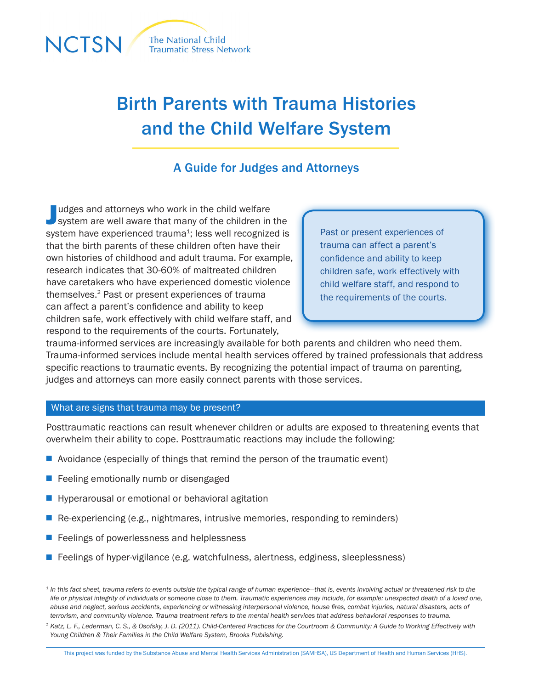

# Birth Parents with Trauma Histories and the Child Welfare System

## A Guide for Judges and Attorneys

Judges and attorneys who work in the child welfare<br>System are well aware that many of the children in the udges and attorneys who work in the child welfare system have experienced trauma<sup>1</sup>; less well recognized is that the birth parents of these children often have their own histories of childhood and adult trauma. For example, research indicates that 30-60% of maltreated children have caretakers who have experienced domestic violence themselves.2 Past or present experiences of trauma can affect a parent's confidence and ability to keep children safe, work effectively with child welfare staff, and respond to the requirements of the courts. Fortunately,

Past or present experiences of trauma can affect a parent's confidence and ability to keep children safe, work effectively with child welfare staff, and respond to the requirements of the courts.

trauma-informed services are increasingly available for both parents and children who need them. Trauma-informed services include mental health services offered by trained professionals that address specific reactions to traumatic events. By recognizing the potential impact of trauma on parenting, judges and attorneys can more easily connect parents with those services.

#### What are signs that trauma may be present?

Posttraumatic reactions can result whenever children or adults are exposed to threatening events that overwhelm their ability to cope. Posttraumatic reactions may include the following:

- $\blacksquare$  Avoidance (especially of things that remind the person of the traumatic event)
- $\blacksquare$  Feeling emotionally numb or disengaged
- $\blacksquare$  Hyperarousal or emotional or behavioral agitation
- **n** Re-experiencing (e.g., nightmares, intrusive memories, responding to reminders)
- $\blacksquare$  Feelings of powerlessness and helplessness
- $\blacksquare$  Feelings of hyper-vigilance (e.g. watchfulness, alertness, edginess, sleeplessness)

<sup>&</sup>lt;sup>1</sup> In this fact sheet, trauma refers to events outside the typical range of human experience—that is, events involving actual or threatened risk to the *life or physical integrity of individuals or someone close to them. Traumatic experiences may include, for example: unexpected death of a loved one, abuse and neglect, serious accidents, experiencing or witnessing interpersonal violence, house fires, combat injuries, natural disasters, acts of terrorism, and community violence. Trauma treatment refers to the mental health services that address behavioral responses to trauma.*

<sup>&</sup>lt;sup>2</sup> Katz, L. F., Lederman, C. S., & Osofsky, J. D. (2011). Child-Centered Practices for the Courtroom & Community: A Guide to Working Effectively with *Young Children & Their Families in the Child Welfare System, Brooks Publishing.*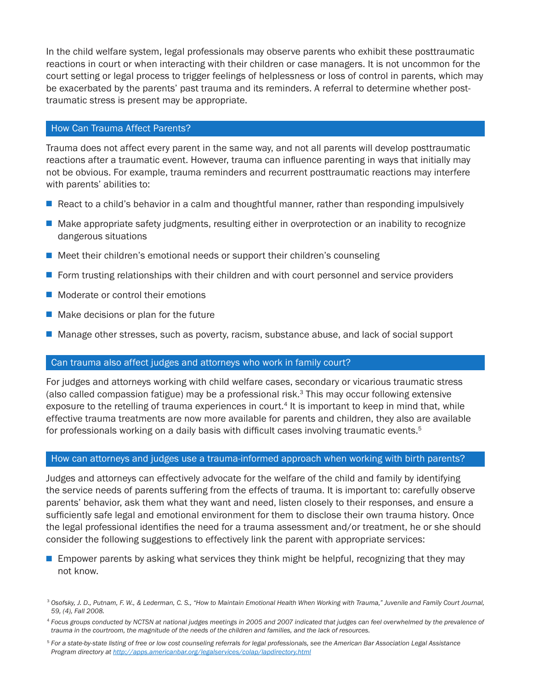In the child welfare system, legal professionals may observe parents who exhibit these posttraumatic reactions in court or when interacting with their children or case managers. It is not uncommon for the court setting or legal process to trigger feelings of helplessness or loss of control in parents, which may be exacerbated by the parents' past trauma and its reminders. A referral to determine whether posttraumatic stress is present may be appropriate.

#### How Can Trauma Affect Parents?

Trauma does not affect every parent in the same way, and not all parents will develop posttraumatic reactions after a traumatic event. However, trauma can influence parenting in ways that initially may not be obvious. For example, trauma reminders and recurrent posttraumatic reactions may interfere with parents' abilities to:

- $\blacksquare$  React to a child's behavior in a calm and thoughtful manner, rather than responding impulsively
- **n** Make appropriate safety judgments, resulting either in overprotection or an inability to recognize dangerous situations
- $\blacksquare$  Meet their children's emotional needs or support their children's counseling
- **F** Form trusting relationships with their children and with court personnel and service providers
- $\blacksquare$  Moderate or control their emotions
- $\blacksquare$  Make decisions or plan for the future
- Manage other stresses, such as poverty, racism, substance abuse, and lack of social support

### Can trauma also affect judges and attorneys who work in family court?

For judges and attorneys working with child welfare cases, secondary or vicarious traumatic stress (also called compassion fatigue) may be a professional risk. $3$  This may occur following extensive exposure to the retelling of trauma experiences in court.<sup>4</sup> It is important to keep in mind that, while effective trauma treatments are now more available for parents and children, they also are available for professionals working on a daily basis with difficult cases involving traumatic events. $5$ 

#### How can attorneys and judges use a trauma-informed approach when working with birth parents?

Judges and attorneys can effectively advocate for the welfare of the child and family by identifying the service needs of parents suffering from the effects of trauma. It is important to: carefully observe parents' behavior, ask them what they want and need, listen closely to their responses, and ensure a sufficiently safe legal and emotional environment for them to disclose their own trauma history. Once the legal professional identifies the need for a trauma assessment and/or treatment, he or she should consider the following suggestions to effectively link the parent with appropriate services:

 $\blacksquare$  Empower parents by asking what services they think might be helpful, recognizing that they may not know.

<sup>3</sup> *Osofsky, J. D., Putnam, F. W., & Lederman, C. S., "How to Maintain Emotional Health When Working with Trauma," Juvenile and Family Court Journal, 59, (4), Fall 2008.*

<sup>4</sup> *Focus groups conducted by NCTSN at national judges meetings in 2005 and 2007 indicated that judges can feel overwhelmed by the prevalence of trauma in the courtroom, the magnitude of the needs of the children and families, and the lack of resources.*

<sup>5</sup> *For a state-by-state listing of free or low cost counseling referrals for legal professionals, see the American Bar Association Legal Assistance Program directory at <http://apps.americanbar.org/legalservices/colap/lapdirectory.html>*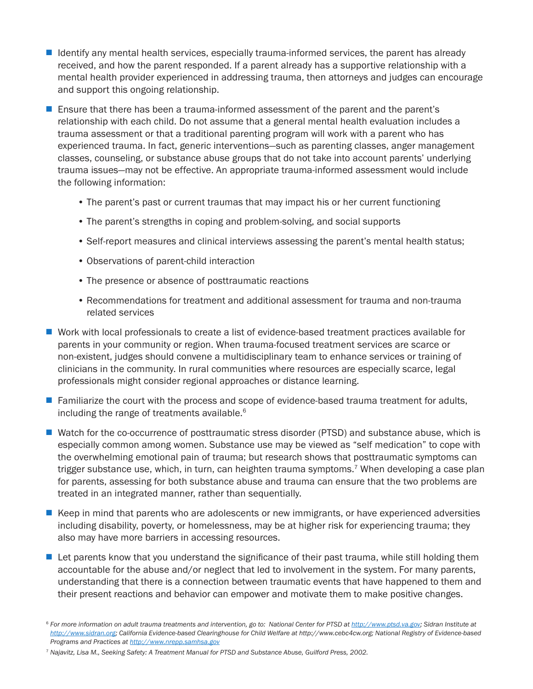- $\blacksquare$  Identify any mental health services, especially trauma-informed services, the parent has already received, and how the parent responded. If a parent already has a supportive relationship with a mental health provider experienced in addressing trauma, then attorneys and judges can encourage and support this ongoing relationship.
- **E** Ensure that there has been a trauma-informed assessment of the parent and the parent's relationship with each child. Do not assume that a general mental health evaluation includes a trauma assessment or that a traditional parenting program will work with a parent who has experienced trauma. In fact, generic interventions—such as parenting classes, anger management classes, counseling, or substance abuse groups that do not take into account parents' underlying trauma issues—may not be effective. An appropriate trauma-informed assessment would include the following information:
	- The parent's past or current traumas that may impact his or her current functioning
	- The parent's strengths in coping and problem-solving, and social supports
	- Self-report measures and clinical interviews assessing the parent's mental health status;
	- Observations of parent-child interaction
	- The presence or absence of posttraumatic reactions
	- Recommendations for treatment and additional assessment for trauma and non-trauma related services
- Work with local professionals to create a list of evidence-based treatment practices available for parents in your community or region. When trauma-focused treatment services are scarce or non-existent, judges should convene a multidisciplinary team to enhance services or training of clinicians in the community. In rural communities where resources are especially scarce, legal professionals might consider regional approaches or distance learning.
- $\blacksquare$  Familiarize the court with the process and scope of evidence-based trauma treatment for adults, including the range of treatments available.<sup>6</sup>
- Watch for the co-occurrence of posttraumatic stress disorder (PTSD) and substance abuse, which is especially common among women. Substance use may be viewed as "self medication" to cope with the overwhelming emotional pain of trauma; but research shows that posttraumatic symptoms can trigger substance use, which, in turn, can heighten trauma symptoms.<sup>7</sup> When developing a case plan for parents, assessing for both substance abuse and trauma can ensure that the two problems are treated in an integrated manner, rather than sequentially.
- E Keep in mind that parents who are adolescents or new immigrants, or have experienced adversities including disability, poverty, or homelessness, may be at higher risk for experiencing trauma; they also may have more barriers in accessing resources.
- $\blacksquare$  Let parents know that you understand the significance of their past trauma, while still holding them accountable for the abuse and/or neglect that led to involvement in the system. For many parents, understanding that there is a connection between traumatic events that have happened to them and their present reactions and behavior can empower and motivate them to make positive changes.

<sup>7</sup> *Najavitz, Lisa M., Seeking Safety: A Treatment Manual for PTSD and Substance Abuse, Guilford Press, 2002.*

<sup>&</sup>lt;sup>6</sup> For more information on adult trauma treatments and intervention, go to: National Center for PTSD at <http://www.ptsd.va.gov>; Sidran Institute at *[http://www.sidran.org;](http://www.sidran.org) California Evidence-based Clearinghouse for Child Welfare at http://www.cebc4cw.org; National Registry of Evidence-based Programs and Practices at<http://www.nrepp.samhsa.gov>*